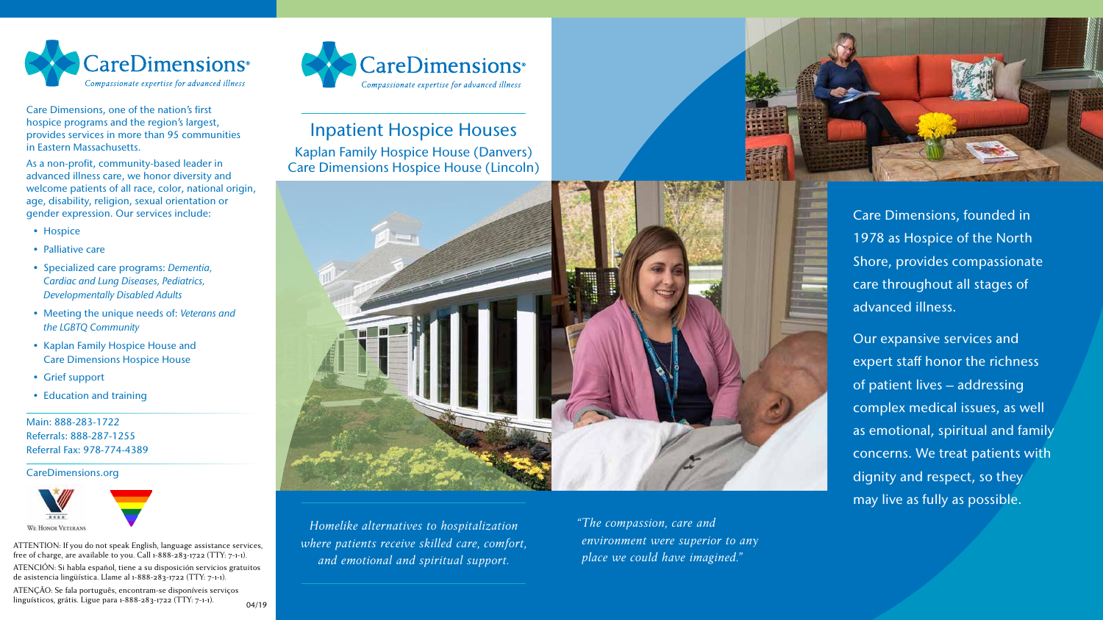

Care Dimensions, one of the nation's first hospice programs and the region's largest, provides services in more than 95 communities in Eastern Massachusetts.

As a non-profit, community-based leader in advanced illness care, we honor diversity and welcome patients of all race, color, national origin, age, disability, religion, sexual orientation or gender expression. Our services include:

- Hospice
- Palliative care
- Specialized care programs: *Dementia, Cardiac and Lung Diseases, Pediatrics, Developmentally Disabled Adults*
- Meeting the unique needs of: *Veterans and the LGBTQ Community*
- Kaplan Family Hospice House and Care Dimensions Hospice House
- Grief support
- Education and training

Main: 888-283-1722 Referrals: 888-287-1255 Referral Fax: 978-774-4389

CareDimensions.org



# Inpatient Hospice Houses

Kaplan Family Hospice House (Danvers) Care Dimensions Hospice House (Lincoln)



*Homelike alternatives to hospitalization where patients receive skilled care, comfort, and emotional and spiritual support.* 

Care Dimensions, founded in 1978 as Hospice of the North Shore, provides compassionate care throughout all stages of advanced illness.

Our expansive services and expert staff honor the richness of patient lives – addressing complex medical issues, as well as emotional, spiritual and family concerns. We treat patients with dignity and respect, so they may live as fully as possible.

*"The compassion, care and environment were superior to any place we could have imagined."* 



ATTENTION: If you do not speak English, language assistance services, free of charge, are available to you. Call 1-888-283-1722 (TTY: 7-1-1).

ATENCIÓN: Si habla español, tiene a su disposición servicios gratuitos de asistencia lingüística. Llame al 1-888-283-1722 (TTY: 7-1-1).